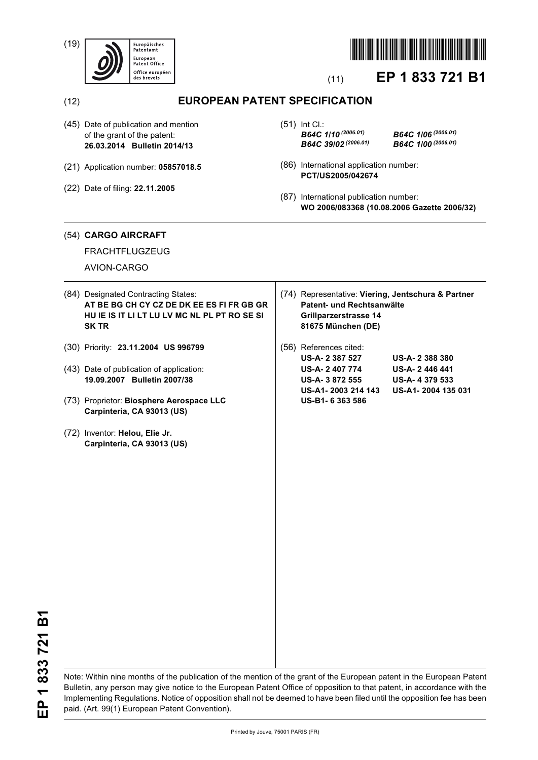(19)





# (11) **EP 1 833 721 B1**

(12) **EUROPEAN PATENT SPECIFICATION**

- (45) Date of publication and mention of the grant of the patent: **26.03.2014 Bulletin 2014/13**
- (21) Application number: **05857018.5**
- (22) Date of filing: **22.11.2005**

(51) Int Cl.: *B64C 1/10 (2006.01) B64C 1/06 (2006.01) B64C 39/02 (2006.01) B64C 1/00 (2006.01)*

- (86) International application number: **PCT/US2005/042674**
- (87) International publication number: **WO 2006/083368 (10.08.2006 Gazette 2006/32)**

# (54) **CARGO AIRCRAFT**

FRACHTFLUGZEUG

AVION-CARGO

- (84) Designated Contracting States: **AT BE BG CH CY CZ DE DK EE ES FI FR GB GR HU IE IS IT LI LT LU LV MC NL PL PT RO SE SI SK TR**
- (30) Priority: **23.11.2004 US 996799**
- (43) Date of publication of application: **19.09.2007 Bulletin 2007/38**
- (73) Proprietor: **Biosphere Aerospace LLC Carpinteria, CA 93013 (US)**
- (72) Inventor: **Helou, Elie Jr. Carpinteria, CA 93013 (US)**
- (74) Representative: **Viering, Jentschura & Partner Patent- und Rechtsanwälte Grillparzerstrasse 14 81675 München (DE)**
- (56) References cited: **US-A- 2 387 527 US-A- 2 388 380 US-A- 2 407 774 US-A- 2 446 441 US-A- 3 872 555 US-A- 4 379 533 US-A1- 2003 214 143 US-A1- 2004 135 031 US-B1- 6 363 586**

EP 1833721B1 **EP 1 833 721 B1**

Note: Within nine months of the publication of the mention of the grant of the European patent in the European Patent Bulletin, any person may give notice to the European Patent Office of opposition to that patent, in accordance with the Implementing Regulations. Notice of opposition shall not be deemed to have been filed until the opposition fee has been paid. (Art. 99(1) European Patent Convention).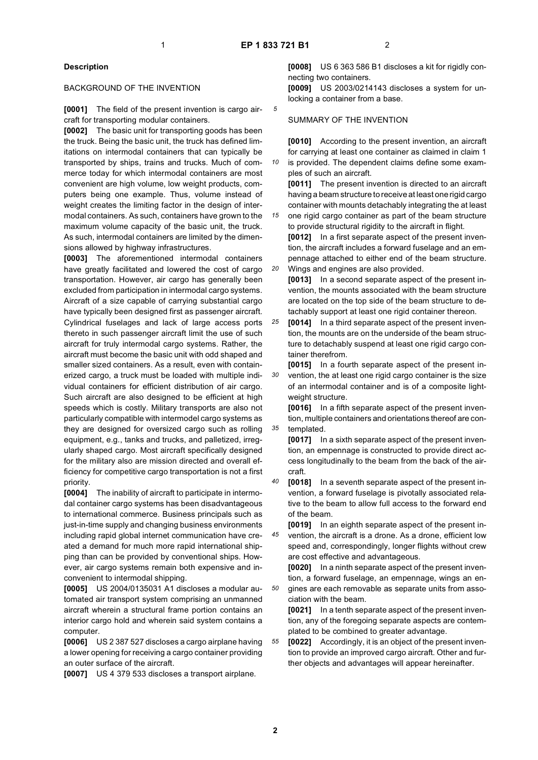*10*

*20*

### **Description**

#### BACKGROUND OF THE INVENTION

**[0001]** The field of the present invention is cargo aircraft for transporting modular containers.

**[0002]** The basic unit for transporting goods has been the truck. Being the basic unit, the truck has defined limitations on intermodal containers that can typically be transported by ships, trains and trucks. Much of commerce today for which intermodal containers are most convenient are high volume, low weight products, computers being one example. Thus, volume instead of weight creates the limiting factor in the design of intermodal containers. As such, containers have grown to the maximum volume capacity of the basic unit, the truck. As such, intermodal containers are limited by the dimensions allowed by highway infrastructures.

**[0003]** The aforementioned intermodal containers have greatly facilitated and lowered the cost of cargo transportation. However, air cargo has generally been excluded from participation in intermodal cargo systems. Aircraft of a size capable of carrying substantial cargo have typically been designed first as passenger aircraft. Cylindrical fuselages and lack of large access ports thereto in such passenger aircraft limit the use of such aircraft for truly intermodal cargo systems. Rather, the aircraft must become the basic unit with odd shaped and smaller sized containers. As a result, even with containerized cargo, a truck must be loaded with multiple individual containers for efficient distribution of air cargo. Such aircraft are also designed to be efficient at high speeds which is costly. Military transports are also not particularly compatible with intermodel cargo systems as they are designed for oversized cargo such as rolling equipment, e.g., tanks and trucks, and palletized, irregularly shaped cargo. Most aircraft specifically designed for the military also are mission directed and overall efficiency for competitive cargo transportation is not a first priority.

**[0004]** The inability of aircraft to participate in intermodal container cargo systems has been disadvantageous to international commerce. Business principals such as just-in-time supply and changing business environments including rapid global internet communication have created a demand for much more rapid international shipping than can be provided by conventional ships. However, air cargo systems remain both expensive and inconvenient to intermodal shipping.

**[0005]** US 2004/0135031 A1 discloses a modular automated air transport system comprising an unmanned aircraft wherein a structural frame portion contains an interior cargo hold and wherein said system contains a computer.

**[0006]** US 2 387 527 discloses a cargo airplane having a lower opening for receiving a cargo container providing an outer surface of the aircraft.

**[0007]** US 4 379 533 discloses a transport airplane.

**[0008]** US 6 363 586 B1 discloses a kit for rigidly connecting two containers.

**[0009]** US 2003/0214143 discloses a system for unlocking a container from a base.

#### SUMMARY OF THE INVENTION

**[0010]** According to the present invention, an aircraft for carrying at least one container as claimed in claim 1 is provided. The dependent claims define some exam-

ples of such an aircraft.

**[0011]** The present invention is directed to an aircraft having a beam structure to receive at least one rigid cargo container with mounts detachably integrating the at least

*15* one rigid cargo container as part of the beam structure to provide structural rigidity to the aircraft in flight.

**[0012]** In a first separate aspect of the present invention, the aircraft includes a forward fuselage and an empennage attached to either end of the beam structure. Wings and engines are also provided.

**[0013]** In a second separate aspect of the present invention, the mounts associated with the beam structure are located on the top side of the beam structure to detachably support at least one rigid container thereon.

*25* **[0014]** In a third separate aspect of the present invention, the mounts are on the underside of the beam structure to detachably suspend at least one rigid cargo container therefrom.

*30* **[0015]** In a fourth separate aspect of the present invention, the at least one rigid cargo container is the size of an intermodal container and is of a composite lightweight structure.

*35* **[0016]** In a fifth separate aspect of the present invention, multiple containers and orientations thereof are contemplated.

**[0017]** In a sixth separate aspect of the present invention, an empennage is constructed to provide direct access longitudinally to the beam from the back of the aircraft.

*40* **[0018]** In a seventh separate aspect of the present invention, a forward fuselage is pivotally associated relative to the beam to allow full access to the forward end of the beam.

*45* **[0019]** In an eighth separate aspect of the present invention, the aircraft is a drone. As a drone, efficient low speed and, correspondingly, longer flights without crew are cost effective and advantageous.

**[0020]** In a ninth separate aspect of the present invention, a forward fuselage, an empennage, wings an en-

*50* gines are each removable as separate units from association with the beam.

**[0021]** In a tenth separate aspect of the present invention, any of the foregoing separate aspects are contemplated to be combined to greater advantage.

*55* **[0022]** Accordingly, it is an object of the present invention to provide an improved cargo aircraft. Other and further objects and advantages will appear hereinafter.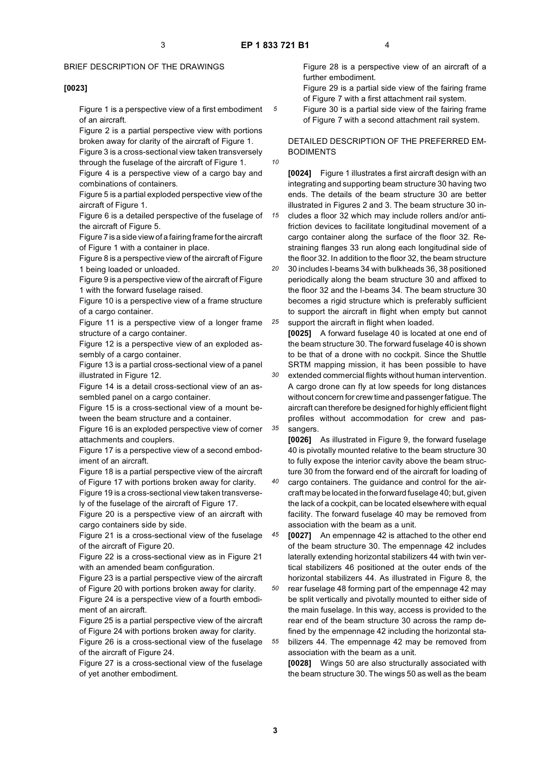*10*

*15*

*20*

*30*

*35*

# BRIEF DESCRIPTION OF THE DRAWINGS

#### **[0023]**

Figure 1 is a perspective view of a first embodiment of an aircraft.

Figure 2 is a partial perspective view with portions broken away for clarity of the aircraft of Figure 1.

Figure 3 is a cross-sectional view taken transversely through the fuselage of the aircraft of Figure 1.

Figure 4 is a perspective view of a cargo bay and combinations of containers.

Figure 5 is a partial exploded perspective view of the aircraft of Figure 1.

Figure 6 is a detailed perspective of the fuselage of the aircraft of Figure 5.

Figure 7 is a side view of a fairing frame for the aircraft of Figure 1 with a container in place.

Figure 8 is a perspective view of the aircraft of Figure 1 being loaded or unloaded.

Figure 9 is a perspective view of the aircraft of Figure 1 with the forward fuselage raised.

Figure 10 is a perspective view of a frame structure of a cargo container.

Figure 11 is a perspective view of a longer frame structure of a cargo container.

Figure 12 is a perspective view of an exploded assembly of a cargo container.

Figure 13 is a partial cross-sectional view of a panel illustrated in Figure 12.

Figure 14 is a detail cross-sectional view of an assembled panel on a cargo container.

Figure 15 is a cross-sectional view of a mount between the beam structure and a container.

Figure 16 is an exploded perspective view of corner attachments and couplers.

Figure 17 is a perspective view of a second embodiment of an aircraft.

Figure 18 is a partial perspective view of the aircraft of Figure 17 with portions broken away for clarity.

Figure 19 is a cross-sectional view taken transversely of the fuselage of the aircraft of Figure 17.

Figure 20 is a perspective view of an aircraft with cargo containers side by side.

Figure 21 is a cross-sectional view of the fuselage of the aircraft of Figure 20.

Figure 22 is a cross-sectional view as in Figure 21 with an amended beam configuration.

Figure 23 is a partial perspective view of the aircraft of Figure 20 with portions broken away for clarity.

Figure 24 is a perspective view of a fourth embodiment of an aircraft.

Figure 25 is a partial perspective view of the aircraft of Figure 24 with portions broken away for clarity. Figure 26 is a cross-sectional view of the fuselage of the aircraft of Figure 24.

Figure 27 is a cross-sectional view of the fuselage of yet another embodiment.

Figure 28 is a perspective view of an aircraft of a further embodiment.

Figure 29 is a partial side view of the fairing frame of Figure 7 with a first attachment rail system.

Figure 30 is a partial side view of the fairing frame of Figure 7 with a second attachment rail system.

DETAILED DESCRIPTION OF THE PREFERRED EM-BODIMENTS

**[0024]** Figure 1 illustrates a first aircraft design with an integrating and supporting beam structure 30 having two ends. The details of the beam structure 30 are better illustrated in Figures 2 and 3. The beam structure 30 includes a floor 32 which may include rollers and/or antifriction devices to facilitate longitudinal movement of a cargo container along the surface of the floor 32. Restraining flanges 33 run along each longitudinal side of the floor 32. In addition to the floor 32, the beam structure 30 includes I-beams 34 with bulkheads 36, 38 positioned

*25* periodically along the beam structure 30 and affixed to the floor 32 and the I-beams 34. The beam structure 30 becomes a rigid structure which is preferably sufficient to support the aircraft in flight when empty but cannot support the aircraft in flight when loaded.

**[0025]** A forward fuselage 40 is located at one end of the beam structure 30. The forward fuselage 40 is shown to be that of a drone with no cockpit. Since the Shuttle SRTM mapping mission, it has been possible to have extended commercial flights without human intervention. A cargo drone can fly at low speeds for long distances without concern for crew time and passenger fatigue. The aircraft can therefore be designed for highly efficient flight profiles without accommodation for crew and pas-

sangers. **[0026]** As illustrated in Figure 9, the forward fuselage 40 is pivotally mounted relative to the beam structure 30 to fully expose the interior cavity above the beam structure 30 from the forward end of the aircraft for loading of

*40* cargo containers. The guidance and control for the aircraft may be located in the forward fuselage 40; but, given the lack of a cockpit, can be located elsewhere with equal facility. The forward fuselage 40 may be removed from association with the beam as a unit.

*45 50 55* **[0027]** An empennage 42 is attached to the other end of the beam structure 30. The empennage 42 includes laterally extending horizontal stabilizers 44 with twin vertical stabilizers 46 positioned at the outer ends of the horizontal stabilizers 44. As illustrated in Figure 8, the rear fuselage 48 forming part of the empennage 42 may be split vertically and pivotally mounted to either side of the main fuselage. In this way, access is provided to the rear end of the beam structure 30 across the ramp defined by the empennage 42 including the horizontal stabilizers 44. The empennage 42 may be removed from association with the beam as a unit.

**[0028]** Wings 50 are also structurally associated with the beam structure 30. The wings 50 as well as the beam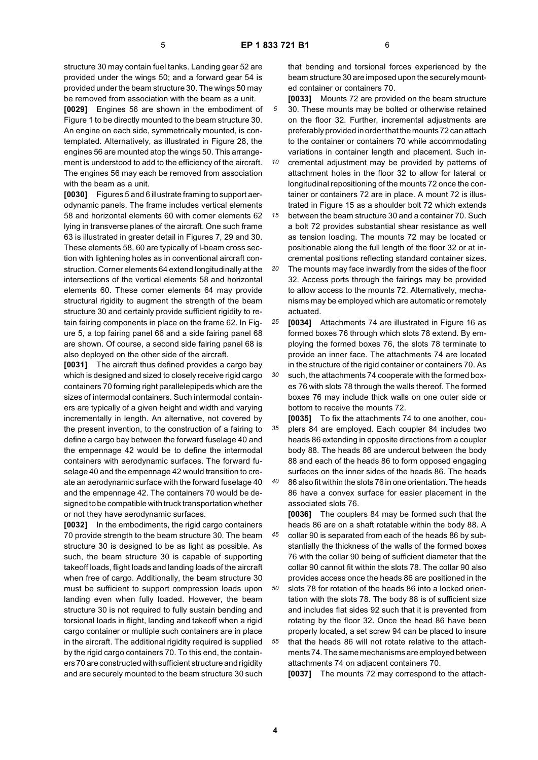structure 30 may contain fuel tanks. Landing gear 52 are provided under the wings 50; and a forward gear 54 is provided under the beam structure 30. The wings 50 may be removed from association with the beam as a unit.

**[0029]** Engines 56 are shown in the embodiment of Figure 1 to be directly mounted to the beam structure 30. An engine on each side, symmetrically mounted, is contemplated. Alternatively, as illustrated in Figure 28, the engines 56 are mounted atop the wings 50. This arrangement is understood to add to the efficiency of the aircraft. The engines 56 may each be removed from association with the beam as a unit.

**[0030]** Figures 5 and 6 illustrate framing to support aerodynamic panels. The frame includes vertical elements 58 and horizontal elements 60 with corner elements 62 lying in transverse planes of the aircraft. One such frame 63 is illustrated in greater detail in Figures 7, 29 and 30. These elements 58, 60 are typically of I-beam cross section with lightening holes as in conventional aircraft construction. Corner elements 64 extend longitudinally at the intersections of the vertical elements 58 and horizontal elements 60. These corner elements 64 may provide structural rigidity to augment the strength of the beam structure 30 and certainly provide sufficient rigidity to retain fairing components in place on the frame 62. In Figure 5, a top fairing panel 66 and a side fairing panel 68 are shown. Of course, a second side fairing panel 68 is also deployed on the other side of the aircraft.

**[0031]** The aircraft thus defined provides a cargo bay which is designed and sized to closely receive rigid cargo containers 70 forming right parallelepipeds which are the sizes of intermodal containers. Such intermodal containers are typically of a given height and width and varying incrementally in length. An alternative, not covered by the present invention, to the construction of a fairing to define a cargo bay between the forward fuselage 40 and the empennage 42 would be to define the intermodal containers with aerodynamic surfaces. The forward fuselage 40 and the empennage 42 would transition to create an aerodynamic surface with the forward fuselage 40 and the empennage 42. The containers 70 would be designed to be compatible with truck transportation whether or not they have aerodynamic surfaces.

**[0032]** In the embodiments, the rigid cargo containers 70 provide strength to the beam structure 30. The beam structure 30 is designed to be as light as possible. As such, the beam structure 30 is capable of supporting takeoff loads, flight loads and landing loads of the aircraft when free of cargo. Additionally, the beam structure 30 must be sufficient to support compression loads upon landing even when fully loaded. However, the beam structure 30 is not required to fully sustain bending and torsional loads in flight, landing and takeoff when a rigid cargo container or multiple such containers are in place in the aircraft. The additional rigidity required is supplied by the rigid cargo containers 70. To this end, the containers 70 are constructed with sufficient structure and rigidity and are securely mounted to the beam structure 30 such

that bending and torsional forces experienced by the beam structure 30 are imposed upon the securely mounted container or containers 70.

*5* **[0033]** Mounts 72 are provided on the beam structure 30. These mounts may be bolted or otherwise retained on the floor 32. Further, incremental adjustments are preferably provided in order that the mounts 72 can attach to the container or containers 70 while accommodating variations in container length and placement. Such in-

*10 15* cremental adjustment may be provided by patterns of attachment holes in the floor 32 to allow for lateral or longitudinal repositioning of the mounts 72 once the container or containers 72 are in place. A mount 72 is illustrated in Figure 15 as a shoulder bolt 72 which extends

between the beam structure 30 and a container 70. Such a bolt 72 provides substantial shear resistance as well as tension loading. The mounts 72 may be located or positionable along the full length of the floor 32 or at incremental positions reflecting standard container sizes.

*20* The mounts may face inwardly from the sides of the floor 32. Access ports through the fairings may be provided to allow access to the mounts 72. Alternatively, mechanisms may be employed which are automatic or remotely actuated.

*25* **[0034]** Attachments 74 are illustrated in Figure 16 as formed boxes 76 through which slots 78 extend. By employing the formed boxes 76, the slots 78 terminate to provide an inner face. The attachments 74 are located in the structure of the rigid container or containers 70. As

*30* such, the attachments 74 cooperate with the formed boxes 76 with slots 78 through the walls thereof. The formed boxes 76 may include thick walls on one outer side or bottom to receive the mounts 72.

*35 40* **[0035]** To fix the attachments 74 to one another, couplers 84 are employed. Each coupler 84 includes two heads 86 extending in opposite directions from a coupler body 88. The heads 86 are undercut between the body 88 and each of the heads 86 to form opposed engaging surfaces on the inner sides of the heads 86. The heads

86 also fit within the slots 76 in one orientation. The heads 86 have a convex surface for easier placement in the associated slots 76.

**[0036]** The couplers 84 may be formed such that the heads 86 are on a shaft rotatable within the body 88. A

- *45* collar 90 is separated from each of the heads 86 by substantially the thickness of the walls of the formed boxes 76 with the collar 90 being of sufficient diameter that the collar 90 cannot fit within the slots 78. The collar 90 also provides access once the heads 86 are positioned in the
- *55* slots 78 for rotation of the heads 86 into a locked orientation with the slots 78. The body 88 is of sufficient size and includes flat sides 92 such that it is prevented from rotating by the floor 32. Once the head 86 have been properly located, a set screw 94 can be placed to insure that the heads 86 will not rotate relative to the attachments 74. The same mechanisms are employed between attachments 74 on adjacent containers 70.

**[0037]** The mounts 72 may correspond to the attach-

*50*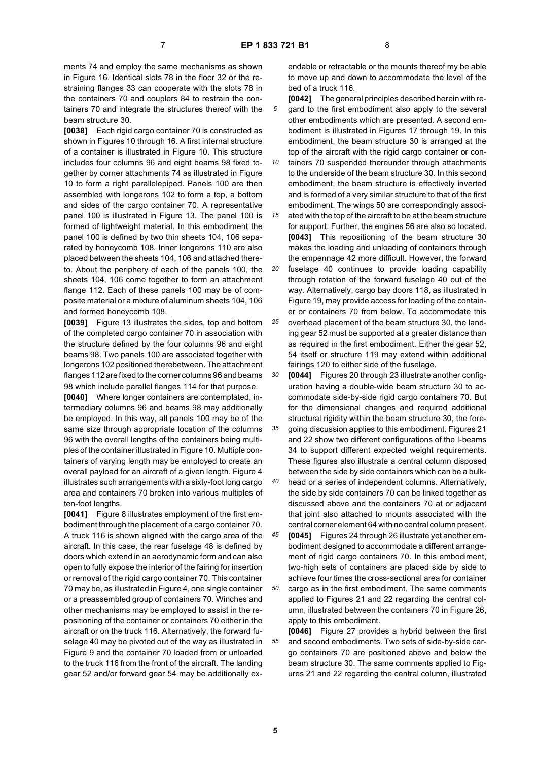ments 74 and employ the same mechanisms as shown in Figure 16. Identical slots 78 in the floor 32 or the restraining flanges 33 can cooperate with the slots 78 in the containers 70 and couplers 84 to restrain the containers 70 and integrate the structures thereof with the beam structure 30.

**[0038]** Each rigid cargo container 70 is constructed as shown in Figures 10 through 16. A first internal structure of a container is illustrated in Figure 10. This structure includes four columns 96 and eight beams 98 fixed together by corner attachments 74 as illustrated in Figure 10 to form a right parallelepiped. Panels 100 are then assembled with longerons 102 to form a top, a bottom and sides of the cargo container 70. A representative panel 100 is illustrated in Figure 13. The panel 100 is formed of lightweight material. In this embodiment the panel 100 is defined by two thin sheets 104, 106 separated by honeycomb 108. Inner longerons 110 are also placed between the sheets 104, 106 and attached thereto. About the periphery of each of the panels 100, the sheets 104, 106 come together to form an attachment flange 112. Each of these panels 100 may be of composite material or a mixture of aluminum sheets 104, 106 and formed honeycomb 108.

**[0039]** Figure 13 illustrates the sides, top and bottom of the completed cargo container 70 in association with the structure defined by the four columns 96 and eight beams 98. Two panels 100 are associated together with longerons 102 positioned therebetween. The attachment flanges 112 are fixed to the corner columns 96 and beams 98 which include parallel flanges 114 for that purpose.

**[0040]** Where longer containers are contemplated, intermediary columns 96 and beams 98 may additionally be employed. In this way, all panels 100 may be of the same size through appropriate location of the columns 96 with the overall lengths of the containers being multiples of the container illustrated in Figure 10. Multiple containers of varying length may be employed to create an overall payload for an aircraft of a given length. Figure 4 illustrates such arrangements with a sixty-foot long cargo area and containers 70 broken into various multiples of ten-foot lengths.

**[0041]** Figure 8 illustrates employment of the first embodiment through the placement of a cargo container 70. A truck 116 is shown aligned with the cargo area of the aircraft. In this case, the rear fuselage 48 is defined by doors which extend in an aerodynamic form and can also open to fully expose the interior of the fairing for insertion or removal of the rigid cargo container 70. This container 70 may be, as illustrated in Figure 4, one single container or a preassembled group of containers 70. Winches and other mechanisms may be employed to assist in the repositioning of the container or containers 70 either in the aircraft or on the truck 116. Alternatively, the forward fuselage 40 may be pivoted out of the way as illustrated in Figure 9 and the container 70 loaded from or unloaded to the truck 116 from the front of the aircraft. The landing gear 52 and/or forward gear 54 may be additionally exendable or retractable or the mounts thereof my be able to move up and down to accommodate the level of the bed of a truck 116.

- *5* **[0042]** The general principles described herein with regard to the first embodiment also apply to the several other embodiments which are presented. A second embodiment is illustrated in Figures 17 through 19. In this embodiment, the beam structure 30 is arranged at the top of the aircraft with the rigid cargo container or con-
- *10* tainers 70 suspended thereunder through attachments to the underside of the beam structure 30. In this second embodiment, the beam structure is effectively inverted and is formed of a very similar structure to that of the first embodiment. The wings 50 are correspondingly associ-

*15* ated with the top of the aircraft to be at the beam structure for support. Further, the engines 56 are also so located. **[0043]** This repositioning of the beam structure 30 makes the loading and unloading of containers through the empennage 42 more difficult. However, the forward

- *20 25* fuselage 40 continues to provide loading capability through rotation of the forward fuselage 40 out of the way. Alternatively, cargo bay doors 118, as illustrated in Figure 19, may provide access for loading of the container or containers 70 from below. To accommodate this overhead placement of the beam structure 30, the land
	- ing gear 52 must be supported at a greater distance than as required in the first embodiment. Either the gear 52, 54 itself or structure 119 may extend within additional fairings 120 to either side of the fuselage.

*30* **[0044]** Figures 20 through 23 illustrate another configuration having a double-wide beam structure 30 to accommodate side-by-side rigid cargo containers 70. But for the dimensional changes and required additional structural rigidity within the beam structure 30, the fore-

*35* going discussion applies to this embodiment. Figures 21 and 22 show two different configurations of the I-beams 34 to support different expected weight requirements. These figures also illustrate a central column disposed between the side by side containers which can be a bulk-

*40* head or a series of independent columns. Alternatively, the side by side containers 70 can be linked together as discussed above and the containers 70 at or adjacent that joint also attached to mounts associated with the central corner element 64 with no central column present.

*45* **[0045]** Figures 24 through 26 illustrate yet another embodiment designed to accommodate a different arrangement of rigid cargo containers 70. In this embodiment, two-high sets of containers are placed side by side to achieve four times the cross-sectional area for container

*50* cargo as in the first embodiment. The same comments applied to Figures 21 and 22 regarding the central column, illustrated between the containers 70 in Figure 26, apply to this embodiment.

*55* **[0046]** Figure 27 provides a hybrid between the first and second embodiments. Two sets of side-by-side cargo containers 70 are positioned above and below the beam structure 30. The same comments applied to Figures 21 and 22 regarding the central column, illustrated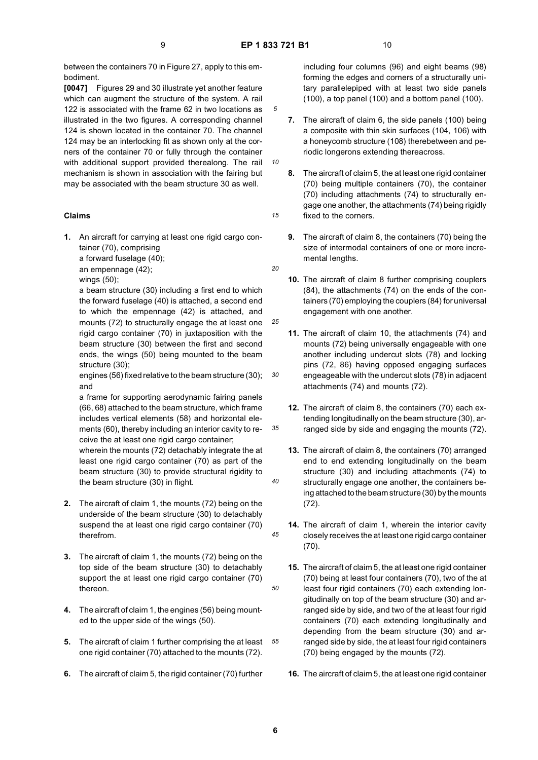*10*

*15*

*25*

*30*

*35*

*40*

*45*

*50*

between the containers 70 in Figure 27, apply to this embodiment.

**[0047]** Figures 29 and 30 illustrate yet another feature which can augment the structure of the system. A rail 122 is associated with the frame 62 in two locations as illustrated in the two figures. A corresponding channel 124 is shown located in the container 70. The channel 124 may be an interlocking fit as shown only at the corners of the container 70 or fully through the container with additional support provided therealong. The rail mechanism is shown in association with the fairing but may be associated with the beam structure 30 as well.

# **Claims**

**1.** An aircraft for carrying at least one rigid cargo container (70), comprising

a forward fuselage (40);

an empennage (42); wings (50);

a beam structure (30) including a first end to which the forward fuselage (40) is attached, a second end to which the empennage (42) is attached, and mounts (72) to structurally engage the at least one rigid cargo container (70) in juxtaposition with the beam structure (30) between the first and second ends, the wings (50) being mounted to the beam structure (30);

engines (56) fixed relative to the beam structure (30); and

a frame for supporting aerodynamic fairing panels (66, 68) attached to the beam structure, which frame includes vertical elements (58) and horizontal elements (60), thereby including an interior cavity to receive the at least one rigid cargo container;

wherein the mounts (72) detachably integrate the at least one rigid cargo container (70) as part of the beam structure (30) to provide structural rigidity to the beam structure (30) in flight.

- **2.** The aircraft of claim 1, the mounts (72) being on the underside of the beam structure (30) to detachably suspend the at least one rigid cargo container (70) therefrom.
- **3.** The aircraft of claim 1, the mounts (72) being on the top side of the beam structure (30) to detachably support the at least one rigid cargo container (70) thereon.
- **4.** The aircraft of claim 1, the engines (56) being mounted to the upper side of the wings (50).
- *55* **5.** The aircraft of claim 1 further comprising the at least one rigid container (70) attached to the mounts (72).
- **6.** The aircraft of claim 5, the rigid container (70) further

including four columns (96) and eight beams (98) forming the edges and corners of a structurally unitary parallelepiped with at least two side panels (100), a top panel (100) and a bottom panel (100).

- **7.** The aircraft of claim 6, the side panels (100) being a composite with thin skin surfaces (104, 106) with a honeycomb structure (108) therebetween and periodic longerons extending thereacross.
- **8.** The aircraft of claim 5, the at least one rigid container (70) being multiple containers (70), the container (70) including attachments (74) to structurally engage one another, the attachments (74) being rigidly fixed to the corners.
- **9.** The aircraft of claim 8, the containers (70) being the size of intermodal containers of one or more incremental lengths.
- *20*
	- **10.** The aircraft of claim 8 further comprising couplers (84), the attachments (74) on the ends of the containers (70) employing the couplers (84) for universal engagement with one another.
	- **11.** The aircraft of claim 10, the attachments (74) and mounts (72) being universally engageable with one another including undercut slots (78) and locking pins (72, 86) having opposed engaging surfaces engeageable with the undercut slots (78) in adjacent attachments (74) and mounts (72).
	- **12.** The aircraft of claim 8, the containers (70) each extending longitudinally on the beam structure (30), arranged side by side and engaging the mounts (72).
	- **13.** The aircraft of claim 8, the containers (70) arranged end to end extending longitudinally on the beam structure (30) and including attachments (74) to structurally engage one another, the containers being attached to the beam structure (30) by the mounts (72).
	- **14.** The aircraft of claim 1, wherein the interior cavity closely receives the at least one rigid cargo container (70).
	- **15.** The aircraft of claim 5, the at least one rigid container (70) being at least four containers (70), two of the at least four rigid containers (70) each extending longitudinally on top of the beam structure (30) and arranged side by side, and two of the at least four rigid containers (70) each extending longitudinally and depending from the beam structure (30) and arranged side by side, the at least four rigid containers (70) being engaged by the mounts (72).
	- **16.** The aircraft of claim 5, the at least one rigid container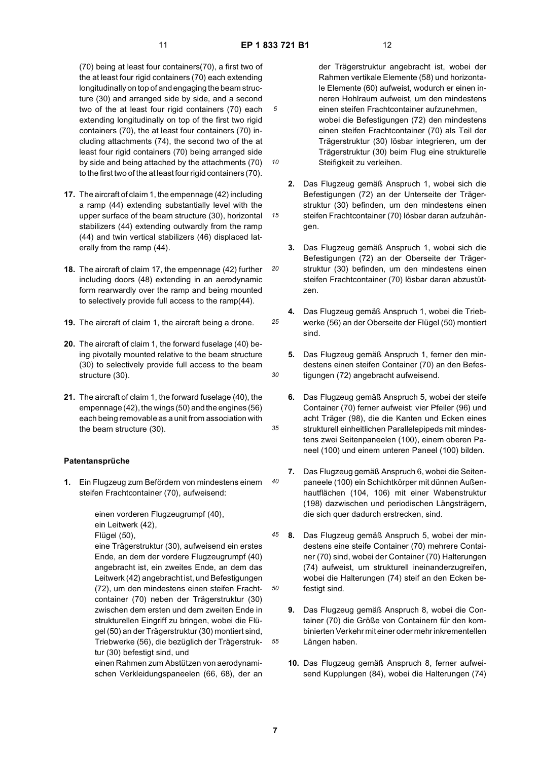*10*

*15*

*20*

*25*

*30*

*35*

*45*

*50*

*55*

(70) being at least four containers(70), a first two of the at least four rigid containers (70) each extending longitudinally on top of and engaging the beam structure (30) and arranged side by side, and a second two of the at least four rigid containers (70) each extending longitudinally on top of the first two rigid containers (70), the at least four containers (70) including attachments (74), the second two of the at least four rigid containers (70) being arranged side by side and being attached by the attachments (70) to the first two of the at least four rigid containers (70).

- **17.** The aircraft of claim 1, the empennage (42) including a ramp (44) extending substantially level with the upper surface of the beam structure (30), horizontal stabilizers (44) extending outwardly from the ramp (44) and twin vertical stabilizers (46) displaced laterally from the ramp (44).
- **18.** The aircraft of claim 17, the empennage (42) further including doors (48) extending in an aerodynamic form rearwardly over the ramp and being mounted to selectively provide full access to the ramp(44).
- **19.** The aircraft of claim 1, the aircraft being a drone.
- **20.** The aircraft of claim 1, the forward fuselage (40) being pivotally mounted relative to the beam structure (30) to selectively provide full access to the beam structure (30).
- **21.** The aircraft of claim 1, the forward fuselage (40), the empennage (42), the wings (50) and the engines (56) each being removable as a unit from association with the beam structure (30).

# **Patentansprüche**

*40* **1.** Ein Flugzeug zum Befördern von mindestens einem steifen Frachtcontainer (70), aufweisend:

> einen vorderen Flugzeugrumpf (40), ein Leitwerk (42), Flügel (50), eine Trägerstruktur (30), aufweisend ein erstes Ende, an dem der vordere Flugzeugrumpf (40) angebracht ist, ein zweites Ende, an dem das Leitwerk (42) angebracht ist, und Befestigungen (72), um den mindestens einen steifen Frachtcontainer (70) neben der Trägerstruktur (30) zwischen dem ersten und dem zweiten Ende in strukturellen Eingriff zu bringen, wobei die Flügel (50) an der Trägerstruktur (30) montiert sind, Triebwerke (56), die bezüglich der Trägerstruktur (30) befestigt sind, und

einen Rahmen zum Abstützen von aerodynamischen Verkleidungspaneelen (66, 68), der an der Trägerstruktur angebracht ist, wobei der Rahmen vertikale Elemente (58) und horizontale Elemente (60) aufweist, wodurch er einen inneren Hohlraum aufweist, um den mindestens einen steifen Frachtcontainer aufzunehmen, wobei die Befestigungen (72) den mindestens einen steifen Frachtcontainer (70) als Teil der Trägerstruktur (30) lösbar integrieren, um der Trägerstruktur (30) beim Flug eine strukturelle Steifigkeit zu verleihen.

- **2.** Das Flugzeug gemäß Anspruch 1, wobei sich die Befestigungen (72) an der Unterseite der Trägerstruktur (30) befinden, um den mindestens einen steifen Frachtcontainer (70) lösbar daran aufzuhängen.
- **3.** Das Flugzeug gemäß Anspruch 1, wobei sich die Befestigungen (72) an der Oberseite der Trägerstruktur (30) befinden, um den mindestens einen steifen Frachtcontainer (70) lösbar daran abzustützen.
- **4.** Das Flugzeug gemäß Anspruch 1, wobei die Triebwerke (56) an der Oberseite der Flügel (50) montiert sind.
	- **5.** Das Flugzeug gemäß Anspruch 1, ferner den mindestens einen steifen Container (70) an den Befestigungen (72) angebracht aufweisend.
- **6.** Das Flugzeug gemäß Anspruch 5, wobei der steife Container (70) ferner aufweist: vier Pfeiler (96) und acht Träger (98), die die Kanten und Ecken eines strukturell einheitlichen Parallelepipeds mit mindestens zwei Seitenpaneelen (100), einem oberen Paneel (100) und einem unteren Paneel (100) bilden.
- **7.** Das Flugzeug gemäß Anspruch 6, wobei die Seitenpaneele (100) ein Schichtkörper mit dünnen Außenhautflächen (104, 106) mit einer Wabenstruktur (198) dazwischen und periodischen Längsträgern, die sich quer dadurch erstrecken, sind.
- **8.** Das Flugzeug gemäß Anspruch 5, wobei der mindestens eine steife Container (70) mehrere Container (70) sind, wobei der Container (70) Halterungen (74) aufweist, um strukturell ineinanderzugreifen, wobei die Halterungen (74) steif an den Ecken befestigt sind.
- **9.** Das Flugzeug gemäß Anspruch 8, wobei die Container (70) die Größe von Containern für den kombinierten Verkehr mit einer oder mehr inkrementellen Längen haben.
- **10.** Das Flugzeug gemäß Anspruch 8, ferner aufweisend Kupplungen (84), wobei die Halterungen (74)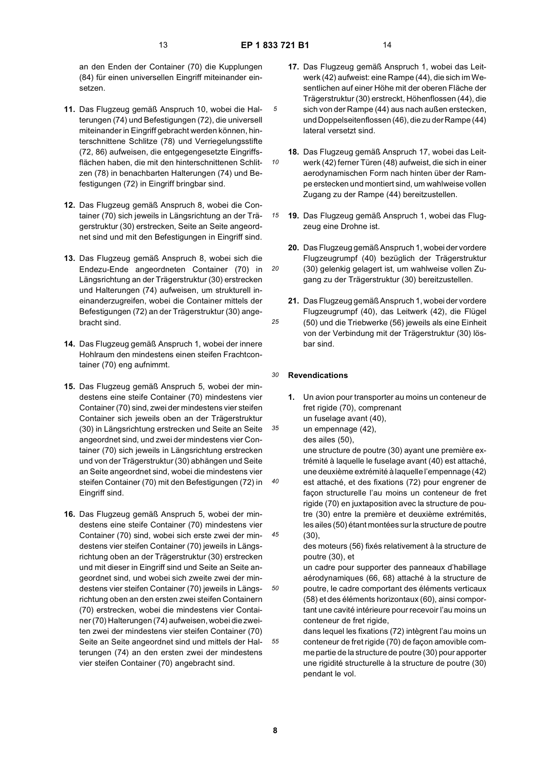*10*

*15*

*20*

*35*

*40*

*45*

*50*

*55*

an den Enden der Container (70) die Kupplungen (84) für einen universellen Eingriff miteinander einsetzen.

- **11.** Das Flugzeug gemäß Anspruch 10, wobei die Halterungen (74) und Befestigungen (72), die universell miteinander in Eingriff gebracht werden können, hinterschnittene Schlitze (78) und Verriegelungsstifte (72, 86) aufweisen, die entgegengesetzte Eingriffsflächen haben, die mit den hinterschnittenen Schlitzen (78) in benachbarten Halterungen (74) und Befestigungen (72) in Eingriff bringbar sind.
- **12.** Das Flugzeug gemäß Anspruch 8, wobei die Container (70) sich jeweils in Längsrichtung an der Trägerstruktur (30) erstrecken, Seite an Seite angeordnet sind und mit den Befestigungen in Eingriff sind.
- **13.** Das Flugzeug gemäß Anspruch 8, wobei sich die Endezu-Ende angeordneten Container (70) in Längsrichtung an der Trägerstruktur (30) erstrecken und Halterungen (74) aufweisen, um strukturell ineinanderzugreifen, wobei die Container mittels der Befestigungen (72) an der Trägerstruktur (30) angebracht sind.
- **14.** Das Flugzeug gemäß Anspruch 1, wobei der innere Hohlraum den mindestens einen steifen Frachtcontainer (70) eng aufnimmt.
- **15.** Das Flugzeug gemäß Anspruch 5, wobei der mindestens eine steife Container (70) mindestens vier Container (70) sind, zwei der mindestens vier steifen Container sich jeweils oben an der Trägerstruktur (30) in Längsrichtung erstrecken und Seite an Seite angeordnet sind, und zwei der mindestens vier Container (70) sich jeweils in Längsrichtung erstrecken und von der Trägerstruktur (30) abhängen und Seite an Seite angeordnet sind, wobei die mindestens vier steifen Container (70) mit den Befestigungen (72) in Eingriff sind.
- **16.** Das Flugzeug gemäß Anspruch 5, wobei der mindestens eine steife Container (70) mindestens vier Container (70) sind, wobei sich erste zwei der mindestens vier steifen Container (70) jeweils in Längsrichtung oben an der Trägerstruktur (30) erstrecken und mit dieser in Eingriff sind und Seite an Seite angeordnet sind, und wobei sich zweite zwei der mindestens vier steifen Container (70) jeweils in Längsrichtung oben an den ersten zwei steifen Containern (70) erstrecken, wobei die mindestens vier Container (70) Halterungen (74) aufweisen, wobei die zweiten zwei der mindestens vier steifen Container (70) Seite an Seite angeordnet sind und mittels der Halterungen (74) an den ersten zwei der mindestens vier steifen Container (70) angebracht sind.
- **17.** Das Flugzeug gemäß Anspruch 1, wobei das Leitwerk (42) aufweist: eine Rampe (44), die sich im Wesentlichen auf einer Höhe mit der oberen Fläche der Trägerstruktur (30) erstreckt, Höhenflossen (44), die sich von der Rampe (44) aus nach außen erstecken, und Doppelseitenflossen (46), die zu der Rampe (44) lateral versetzt sind.
- **18.** Das Flugzeug gemäß Anspruch 17, wobei das Leitwerk (42) ferner Türen (48) aufweist, die sich in einer aerodynamischen Form nach hinten über der Rampe erstecken und montiert sind, um wahlweise vollen Zugang zu der Rampe (44) bereitzustellen.
- **19.** Das Flugzeug gemäß Anspruch 1, wobei das Flugzeug eine Drohne ist.
- **20.** Das Flugzeug gemäß Anspruch 1, wobei der vordere Flugzeugrumpf (40) bezüglich der Trägerstruktur (30) gelenkig gelagert ist, um wahlweise vollen Zugang zu der Trägerstruktur (30) bereitzustellen.
- *25* **21.** Das Flugzeug gemäß Anspruch 1, wobei der vordere Flugzeugrumpf (40), das Leitwerk (42), die Flügel (50) und die Triebwerke (56) jeweils als eine Einheit von der Verbindung mit der Trägerstruktur (30) lösbar sind.

#### *30* **Revendications**

- **1.** Un avion pour transporter au moins un conteneur de fret rigide (70), comprenant un fuselage avant (40),
- un empennage (42),

des ailes (50),

une structure de poutre (30) ayant une première extrémité à laquelle le fuselage avant (40) est attaché, une deuxième extrémité à laquelle l'empennage (42) est attaché, et des fixations (72) pour engrener de façon structurelle l'au moins un conteneur de fret rigide (70) en juxtaposition avec la structure de poutre (30) entre la première et deuxième extrémités, les ailes (50) étant montées sur la structure de poutre (30),

des moteurs (56) fixés relativement à la structure de poutre (30), et

un cadre pour supporter des panneaux d'habillage aérodynamiques (66, 68) attaché à la structure de poutre, le cadre comportant des éléments verticaux (58) et des éléments horizontaux (60), ainsi comportant une cavité intérieure pour recevoir l'au moins un conteneur de fret rigide,

dans lequel les fixations (72) intègrent l'au moins un conteneur de fret rigide (70) de façon amovible comme partie de la structure de poutre (30) pour apporter une rigidité structurelle à la structure de poutre (30) pendant le vol.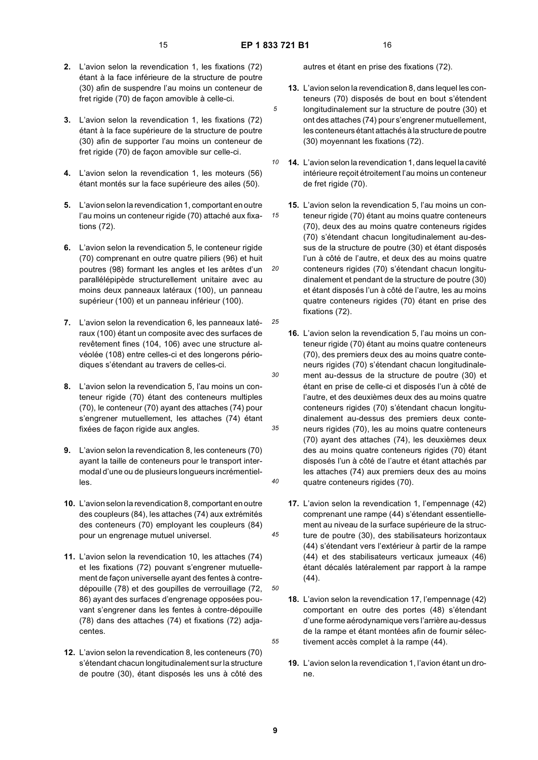*15*

*25*

*30*

*35*

*40*

*45*

*50*

*55*

- **2.** L'avion selon la revendication 1, les fixations (72) étant à la face inférieure de la structure de poutre (30) afin de suspendre l'au moins un conteneur de fret rigide (70) de façon amovible à celle-ci.
- **3.** L'avion selon la revendication 1, les fixations (72) étant à la face supérieure de la structure de poutre (30) afin de supporter l'au moins un conteneur de fret rigide (70) de façon amovible sur celle-ci.
- **4.** L'avion selon la revendication 1, les moteurs (56) étant montés sur la face supérieure des ailes (50).
- **5.** L'avion selon la revendication 1, comportant en outre l'au moins un conteneur rigide (70) attaché aux fixations (72).
- *20* **6.** L'avion selon la revendication 5, le conteneur rigide (70) comprenant en outre quatre piliers (96) et huit poutres (98) formant les angles et les arêtes d'un parallélépipède structurellement unitaire avec au moins deux panneaux latéraux (100), un panneau supérieur (100) et un panneau inférieur (100).
- **7.** L'avion selon la revendication 6, les panneaux latéraux (100) étant un composite avec des surfaces de revêtement fines (104, 106) avec une structure alvéolée (108) entre celles-ci et des longerons périodiques s'étendant au travers de celles-ci.
- **8.** L'avion selon la revendication 5, l'au moins un conteneur rigide (70) étant des conteneurs multiples (70), le conteneur (70) ayant des attaches (74) pour s'engrener mutuellement, les attaches (74) étant fixées de façon rigide aux angles.
- **9.** L'avion selon la revendication 8, les conteneurs (70) ayant la taille de conteneurs pour le transport intermodal d'une ou de plusieurs longueurs incrémentielles.
- **10.** L'avion selon la revendication 8, comportant en outre des coupleurs (84), les attaches (74) aux extrémités des conteneurs (70) employant les coupleurs (84) pour un engrenage mutuel universel.
- **11.** L'avion selon la revendication 10, les attaches (74) et les fixations (72) pouvant s'engrener mutuellement de façon universelle ayant des fentes à contredépouille (78) et des goupilles de verrouillage (72, 86) ayant des surfaces d'engrenage opposées pouvant s'engrener dans les fentes à contre-dépouille (78) dans des attaches (74) et fixations (72) adjacentes.
- **12.** L'avion selon la revendication 8, les conteneurs (70) s'étendant chacun longitudinalement sur la structure de poutre (30), étant disposés les uns à côté des

autres et étant en prise des fixations (72).

- **13.** L'avion selon la revendication 8, dans lequel les conteneurs (70) disposés de bout en bout s'étendent longitudinalement sur la structure de poutre (30) et ont des attaches (74) pour s'engrener mutuellement, les conteneurs étant attachés à la structure de poutre (30) moyennant les fixations (72).
- *10* **14.** L'avion selon la revendication 1, dans lequel la cavité intérieure reçoit étroitement l'au moins un conteneur de fret rigide (70).
	- **15.** L'avion selon la revendication 5, l'au moins un conteneur rigide (70) étant au moins quatre conteneurs (70), deux des au moins quatre conteneurs rigides (70) s'étendant chacun longitudinalement au-dessus de la structure de poutre (30) et étant disposés l'un à côté de l'autre, et deux des au moins quatre conteneurs rigides (70) s'étendant chacun longitudinalement et pendant de la structure de poutre (30) et étant disposés l'un à côté de l'autre, les au moins quatre conteneurs rigides (70) étant en prise des fixations (72).
	- **16.** L'avion selon la revendication 5, l'au moins un conteneur rigide (70) étant au moins quatre conteneurs (70), des premiers deux des au moins quatre conteneurs rigides (70) s'étendant chacun longitudinalement au-dessus de la structure de poutre (30) et étant en prise de celle-ci et disposés l'un à côté de l'autre, et des deuxièmes deux des au moins quatre conteneurs rigides (70) s'étendant chacun longitudinalement au-dessus des premiers deux conteneurs rigides (70), les au moins quatre conteneurs (70) ayant des attaches (74), les deuxièmes deux des au moins quatre conteneurs rigides (70) étant disposés l'un à côté de l'autre et étant attachés par les attaches (74) aux premiers deux des au moins quatre conteneurs rigides (70).
	- **17.** L'avion selon la revendication 1, l'empennage (42) comprenant une rampe (44) s'étendant essentiellement au niveau de la surface supérieure de la structure de poutre (30), des stabilisateurs horizontaux (44) s'étendant vers l'extérieur à partir de la rampe (44) et des stabilisateurs verticaux jumeaux (46) étant décalés latéralement par rapport à la rampe (44).
	- **18.** L'avion selon la revendication 17, l'empennage (42) comportant en outre des portes (48) s'étendant d'une forme aérodynamique vers l'arrière au-dessus de la rampe et étant montées afin de fournir sélectivement accès complet à la rampe (44).
	- **19.** L'avion selon la revendication 1, l'avion étant un drone.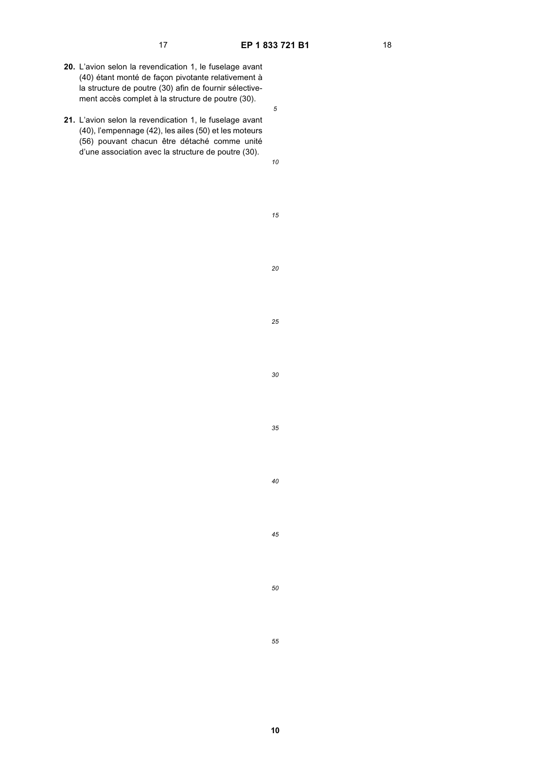- **20.** L'avion selon la revendication 1, le fuselage avant (40) étant monté de façon pivotante relativement à la structure de poutre (30) afin de fournir sélectivement accès complet à la structure de poutre (30).
- **21.** L'avion selon la revendication 1, le fuselage avant (40), l'empennage (42), les ailes (50) et les moteurs (56) pouvant chacun être détaché comme unité d'une association avec la structure de poutre (30).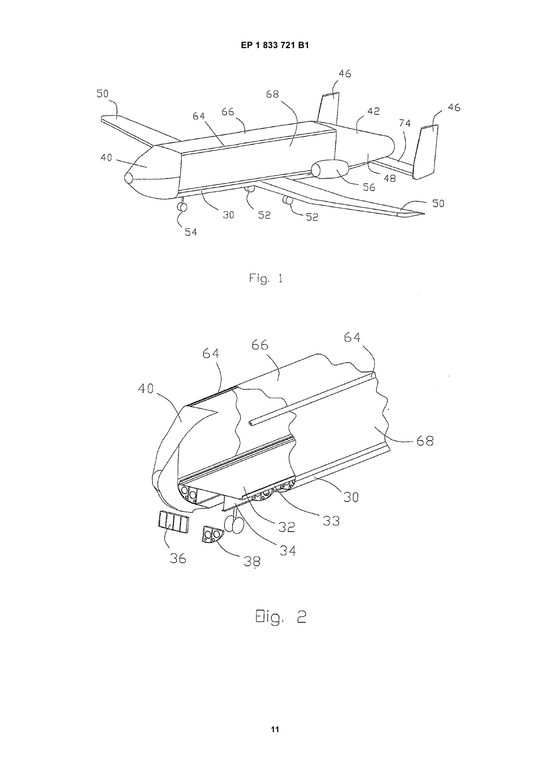

Fig. 1

 $\bar{\mathcal{A}}$ 



Eig. 2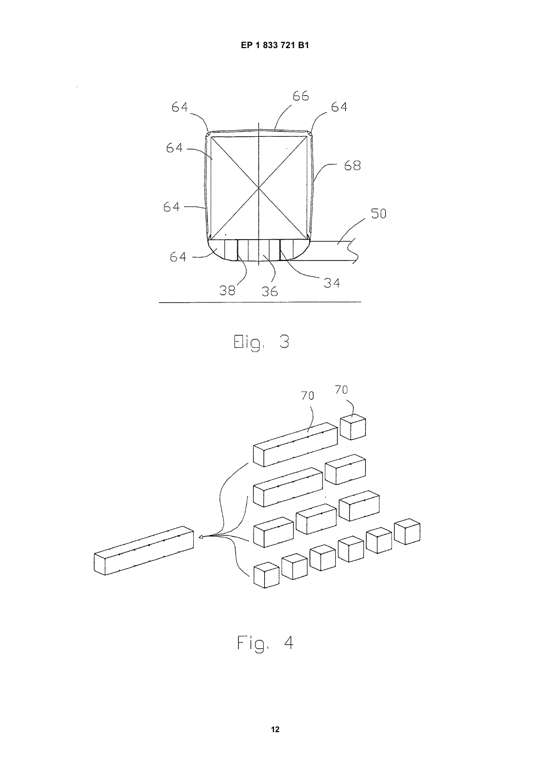$\hat{\mathcal{A}}$ 



Eig. 3



 $Fig. 4$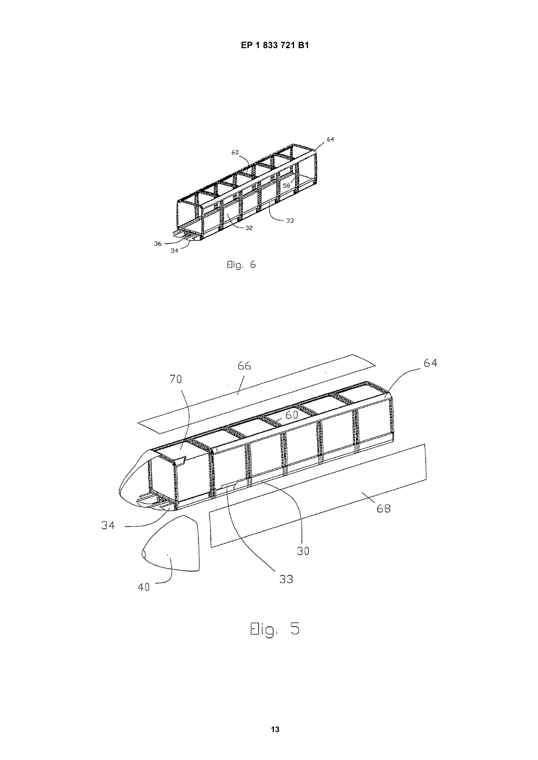

Elig. 6



 $Big. 5$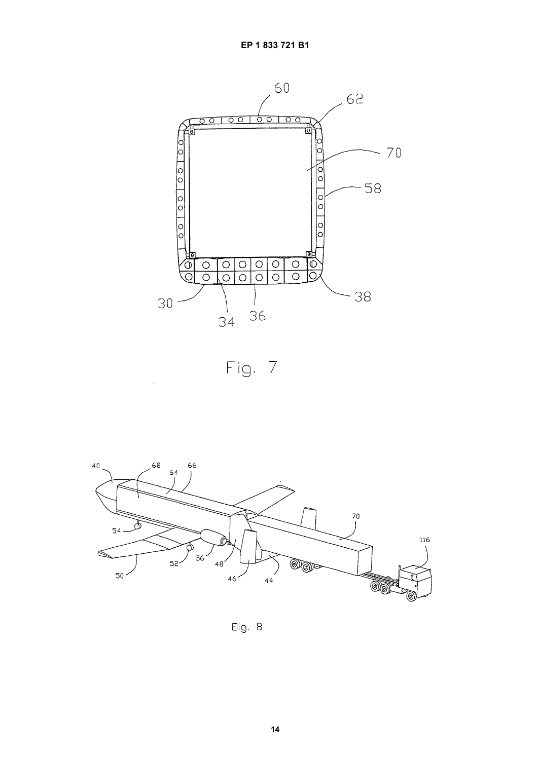





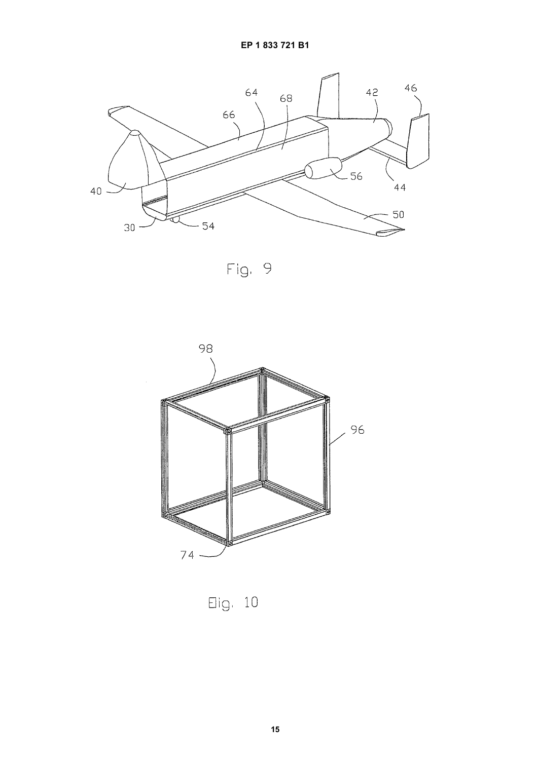

 $Fig. 9$ 



 $Eig. 10$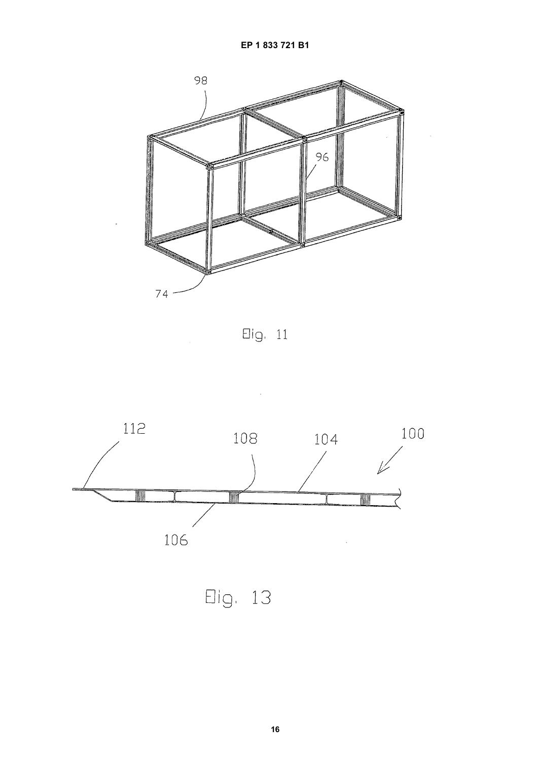

 $Eig. 11$ 



Eig. 13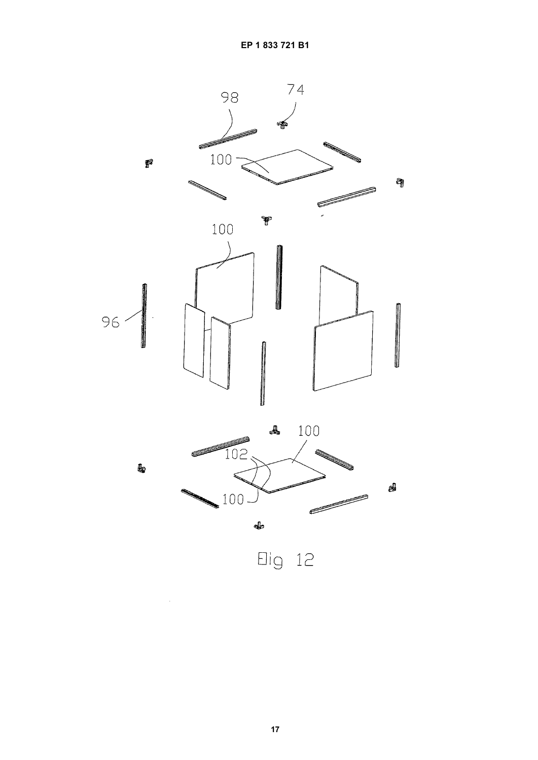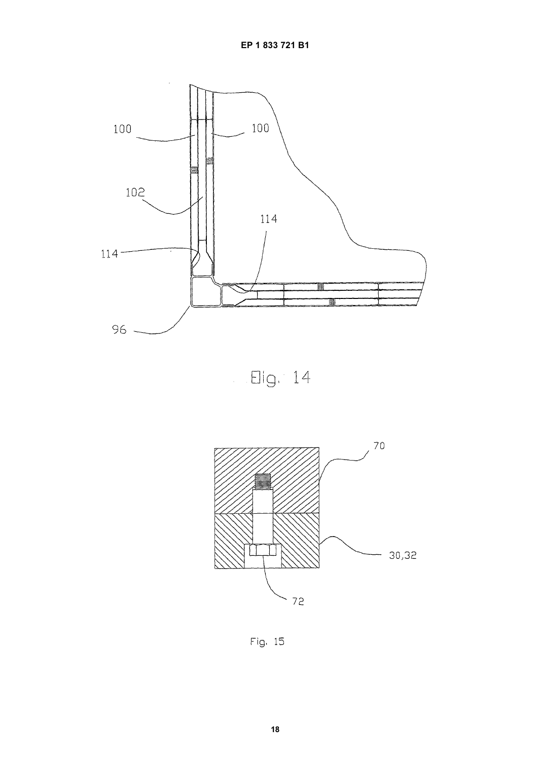

 $\Box$  Elg. 14



Fig. 15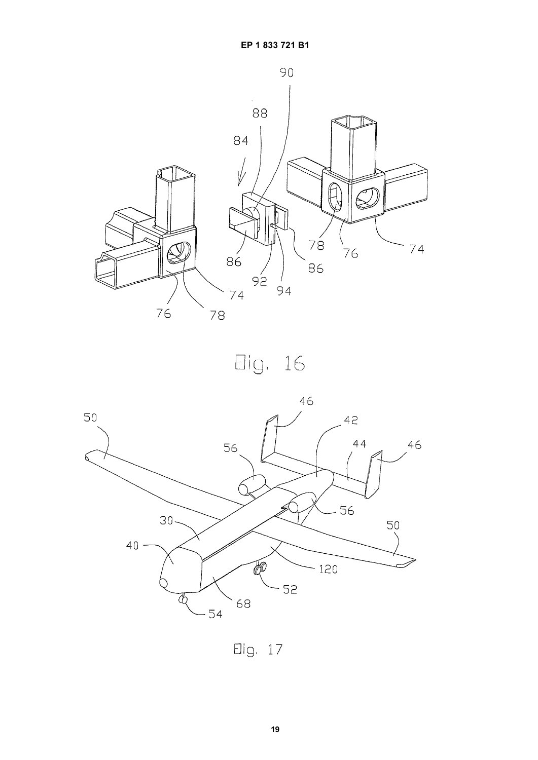

Eig. 16



Elig. 17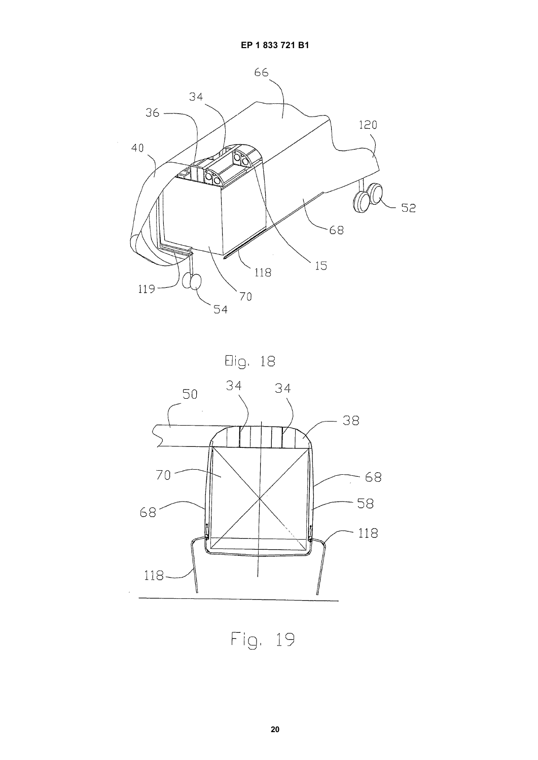





Fig. 19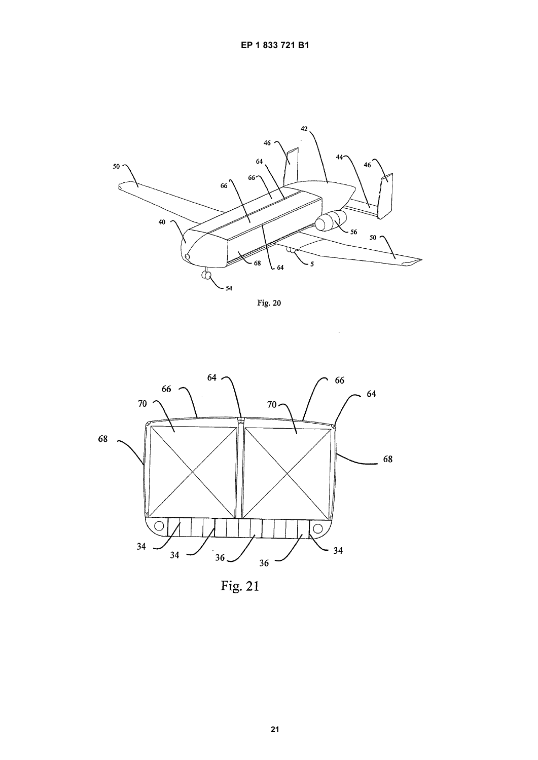

**Fig. 20** 



Fig.  $21$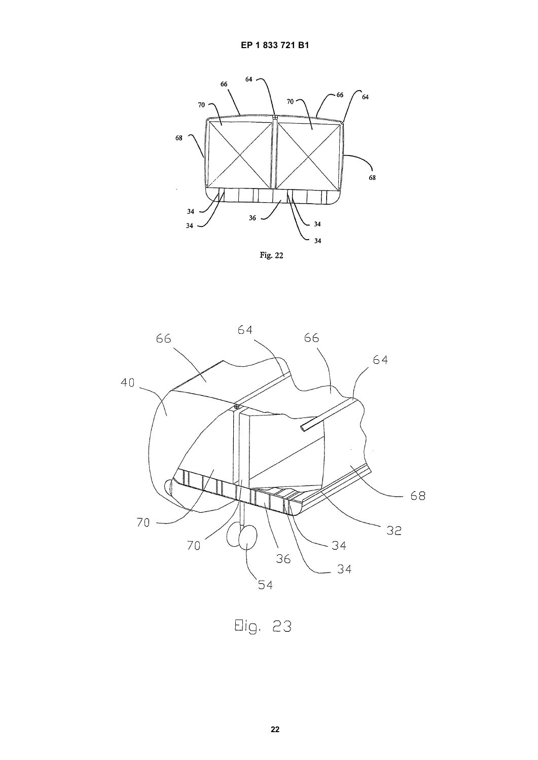





Eig. 23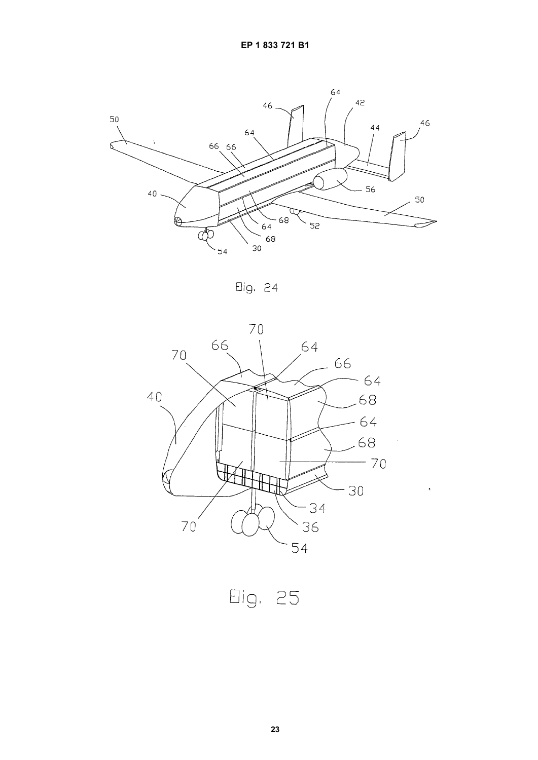

Elig. 24



 $\epsilon$ 

Eig. 25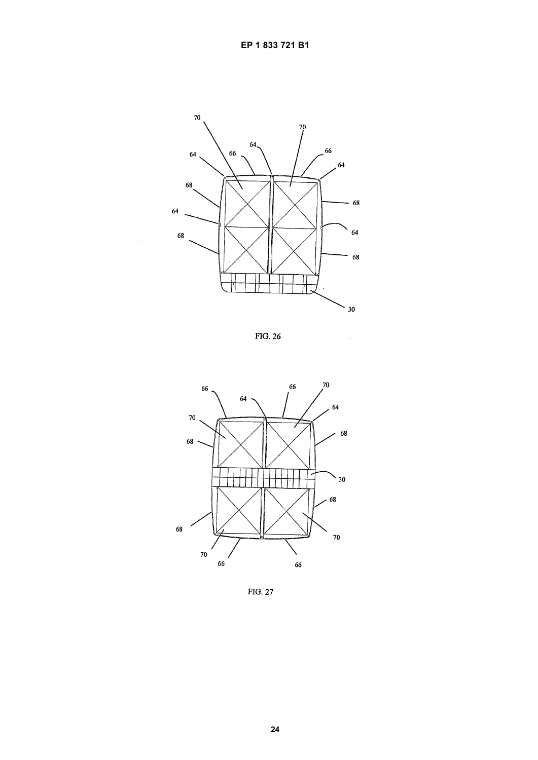

**FIG. 26** 

 $\overline{1}$ 



FIG. 27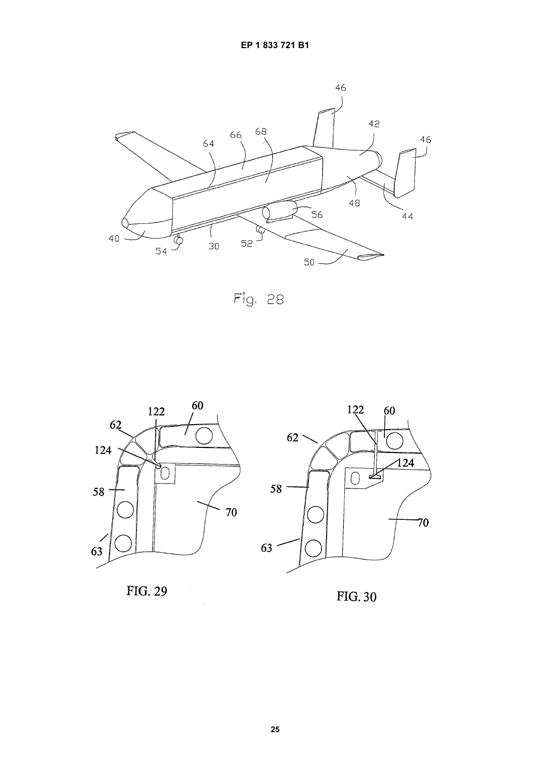

Fig. 28



 $\mathcal{A}$ 





**FIG. 30**